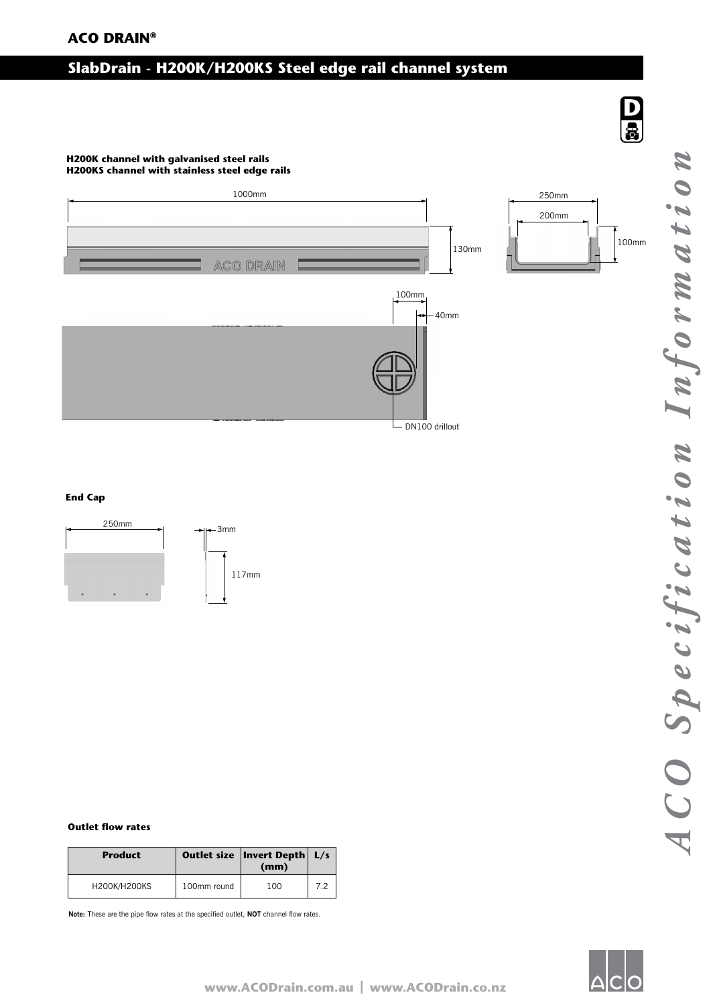# **ACO DRAIN®**

# **SlabDrain - H200K/H200KS Steel edge rail channel system**

# **H200K channel with galvanised steel rails**



#### **End Cap**



#### **Outlet flow rates**

| <b>Product</b> |             | Outlet size   Invert Depth   L/s<br>(mm) |     |
|----------------|-------------|------------------------------------------|-----|
| H200K/H200KS   | 100mm round | 100                                      | 7.2 |

**Note:** These are the pipe flow rates at the specified outlet, **NOT** channel flow rates.

 $\begin{array}{c} \textbf{D} \\ \textbf{B} \end{array}$